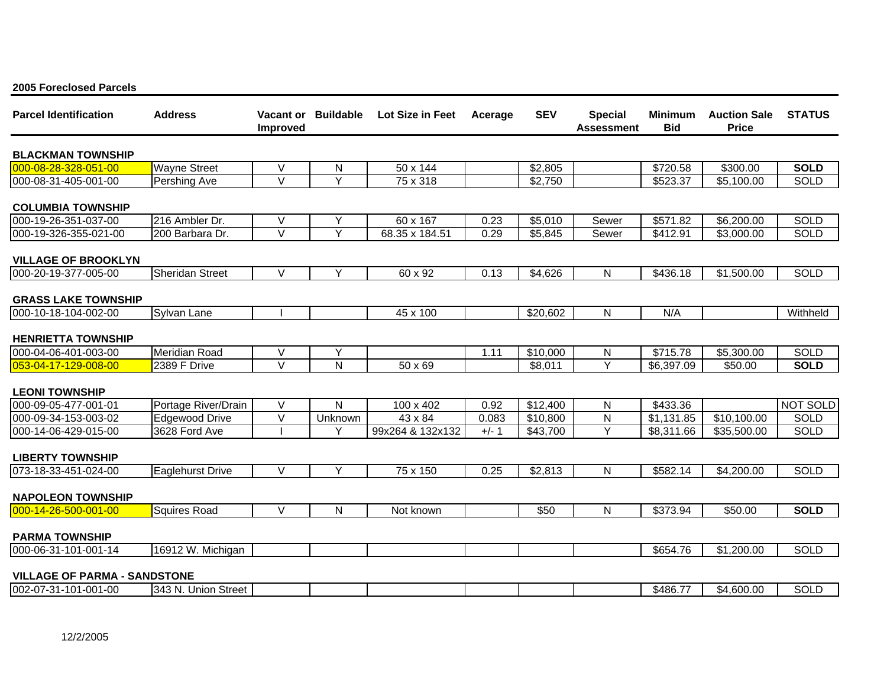| <b>Parcel Identification</b>        | <b>Address</b>          | Vacant or<br><b>Improved</b> | <b>Buildable</b> | Lot Size in Feet | Acerage | <b>SEV</b> | <b>Special</b><br>Assessment | <b>Minimum</b><br><b>Bid</b> | <b>Auction Sale</b><br><b>Price</b> | <b>STATUS</b> |
|-------------------------------------|-------------------------|------------------------------|------------------|------------------|---------|------------|------------------------------|------------------------------|-------------------------------------|---------------|
| <b>BLACKMAN TOWNSHIP</b>            |                         |                              |                  |                  |         |            |                              |                              |                                     |               |
| 000-08-28-328-051-00                | <b>Wayne Street</b>     | $\vee$                       | N                | 50 x 144         |         | \$2,805    |                              | \$720.58                     | \$300.00                            | <b>SOLD</b>   |
| 000-08-31-405-001-00                | Pershing Ave            | $\vee$                       | Y                | 75 x 318         |         | \$2,750    |                              | \$523.37                     | \$5,100.00                          | <b>SOLD</b>   |
| <b>COLUMBIA TOWNSHIP</b>            |                         |                              |                  |                  |         |            |                              |                              |                                     |               |
| 000-19-26-351-037-00                | 216 Ambler Dr.          | $\vee$                       | Y                | 60 x 167         | 0.23    | \$5,010    | Sewer                        | \$571.82                     | \$6,200.00                          | <b>SOLD</b>   |
| 000-19-326-355-021-00               | 200 Barbara Dr.         | $\vee$                       | Y                | 68.35 x 184.51   | 0.29    | \$5,845    | Sewer                        | \$412.91                     | \$3,000.00                          | <b>SOLD</b>   |
| <b>VILLAGE OF BROOKLYN</b>          |                         |                              |                  |                  |         |            |                              |                              |                                     |               |
| 000-20-19-377-005-00                | <b>Sheridan Street</b>  | V                            | Υ                | 60 x 92          | 0.13    | \$4,626    | N                            | \$436.18                     | \$1,500.00                          | SOLD          |
| <b>GRASS LAKE TOWNSHIP</b>          |                         |                              |                  |                  |         |            |                              |                              |                                     |               |
| 000-10-18-104-002-00                | Sylvan Lane             |                              |                  | 45 x 100         |         | \$20,602   | $\mathsf{N}$                 | N/A                          |                                     | Withheld      |
| <b>HENRIETTA TOWNSHIP</b>           |                         |                              |                  |                  |         |            |                              |                              |                                     |               |
| 000-04-06-401-003-00                | Meridian Road           | $\vee$                       | Y                |                  | 1.11    | \$10,000   | N                            | \$715.78                     | \$5,300.00                          | <b>SOLD</b>   |
| 053-04-17-129-008-00                | 2389 F Drive            | $\vee$                       | N                | $50 \times 69$   |         | \$8,011    | Y                            | \$6,397.09                   | \$50.00                             | <b>SOLD</b>   |
| <b>LEONI TOWNSHIP</b>               |                         |                              |                  |                  |         |            |                              |                              |                                     |               |
| 000-09-05-477-001-01                | Portage River/Drain     | V                            | N                | 100 x 402        | 0.92    | \$12,400   | N                            | \$433.36                     |                                     | NOT SOLD      |
| 000-09-34-153-003-02                | <b>Edgewood Drive</b>   | $\overline{\vee}$            | Unknown          | 43 x 84          | 0.083   | \$10,800   | $\mathsf{N}$                 | \$1,131.85                   | \$10,100.00                         | <b>SOLD</b>   |
| 000-14-06-429-015-00                | 3628 Ford Ave           |                              | Υ                | 99x264 & 132x132 | $+/- 1$ | \$43,700   | Y                            | \$8,311.66                   | \$35,500.00                         | <b>SOLD</b>   |
| <b>LIBERTY TOWNSHIP</b>             |                         |                              |                  |                  |         |            |                              |                              |                                     |               |
| 073-18-33-451-024-00                | <b>Eaglehurst Drive</b> | V                            | Y                | 75 x 150         | 0.25    | \$2,813    | N                            | \$582.14                     | \$4,200.00                          | <b>SOLD</b>   |
| <b>NAPOLEON TOWNSHIP</b>            |                         |                              |                  |                  |         |            |                              |                              |                                     |               |
| 000-14-26-500-001-00                | <b>Squires Road</b>     | $\vee$                       | N                | Not known        |         | \$50       | ${\sf N}$                    | \$373.94                     | \$50.00                             | <b>SOLD</b>   |
| <b>PARMA TOWNSHIP</b>               |                         |                              |                  |                  |         |            |                              |                              |                                     |               |
| 000-06-31-101-001-14                | 16912 W. Michigan       |                              |                  |                  |         |            |                              | \$654.76                     | \$1,200.00                          | SOLD          |
| <b>VILLAGE OF PARMA - SANDSTONE</b> |                         |                              |                  |                  |         |            |                              |                              |                                     |               |
| 002-07-31-101-001-00                | 343 N. Union Street     |                              |                  |                  |         |            |                              | \$486.77                     | \$4,600.00                          | SOLD          |

## **2005 Foreclosed Parcels**